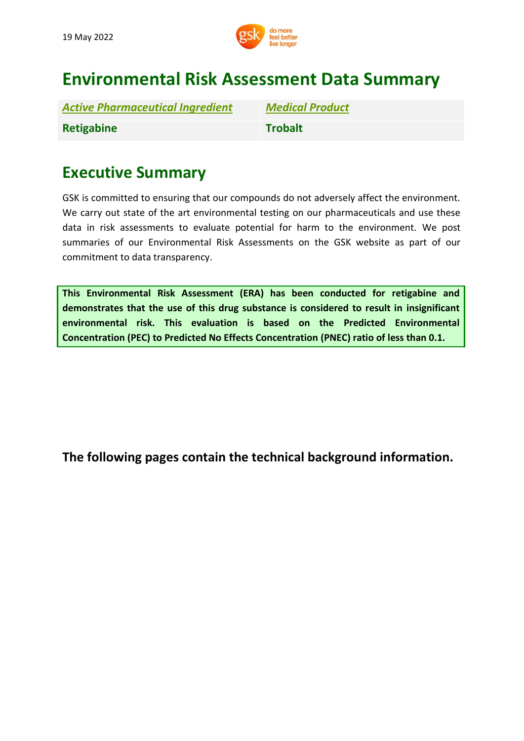

# **Environmental Risk Assessment Data Summary**

| <b>Active Pharmaceutical Ingredient</b> |  |
|-----------------------------------------|--|
| <b>Retigabine</b>                       |  |

*Active Pharmaceutical Ingredient Medical Product* **Retigabine Trobalt**

## **Executive Summary**

GSK is committed to ensuring that our compounds do not adversely affect the environment. We carry out state of the art environmental testing on our pharmaceuticals and use these data in risk assessments to evaluate potential for harm to the environment. We post summaries of our Environmental Risk Assessments on the GSK website as part of our commitment to data transparency.

**This Environmental Risk Assessment (ERA) has been conducted for retigabine and demonstrates that the use of this drug substance is considered to result in insignificant environmental risk. This evaluation is based on the Predicted Environmental Concentration (PEC) to Predicted No Effects Concentration (PNEC) ratio of less than 0.1.**

**[The](http://www.gsk.com/bupropion) following pages contain the technical background information.**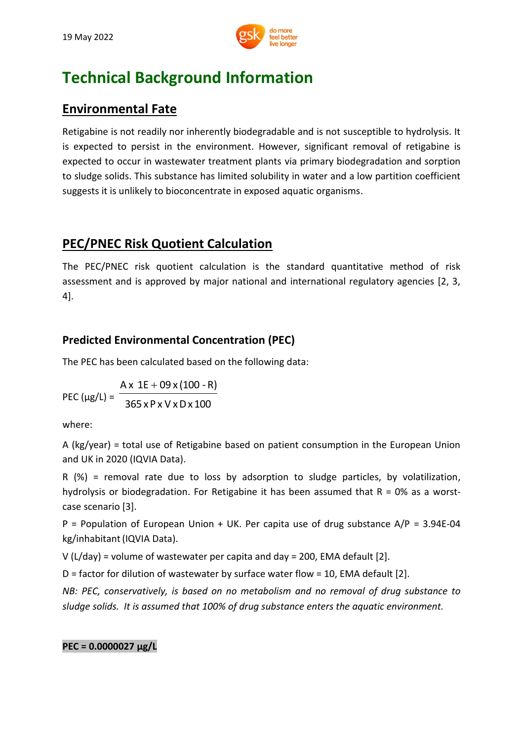

## **Technical Background Information**

### **Environmental Fate**

Retigabine is not readily nor inherently biodegradable and is not susceptible to hydrolysis. It is expected to persist in the environment. However, significant removal of retigabine is expected to occur in wastewater treatment plants via primary biodegradation and sorption to sludge solids. This substance has limited solubility in water and a low partition coefficient suggests it is unlikely to bioconcentrate in exposed aquatic organisms.

## **PEC/PNEC Risk Quotient Calculation**

The PEC/PNEC risk quotient calculation is the standard quantitative method of risk assessment and is approved by major national and international regulatory agencies [2, 3, 4].

### **Predicted Environmental Concentration (PEC)**

The PEC has been calculated based on the following data:

PEC ( $\mu$ g/L) = <sup>-</sup> 365 xP x V xDx 100  $Ax = 1E + 09x(100 - R)$ 

where:

A (kg/year) = total use of Retigabine based on patient consumption in the European Union and UK in 2020 (IQVIA Data).

R (%) = removal rate due to loss by adsorption to sludge particles, by volatilization, hydrolysis or biodegradation. For Retigabine it has been assumed that  $R = 0\%$  as a worstcase scenario [3].

 $P =$  Population of European Union + UK. Per capita use of drug substance  $A/P = 3.94E-04$ kg/inhabitant(IQVIA Data).

V (L/day) = volume of wastewater per capita and day = 200, EMA default [2].

D = factor for dilution of wastewater by surface water flow = 10, EMA default [2].

*NB: PEC, conservatively, is based on no metabolism and no removal of drug substance to sludge solids. It is assumed that 100% of drug substance enters the aquatic environment.*

#### **PEC = 0.0000027 μg/L**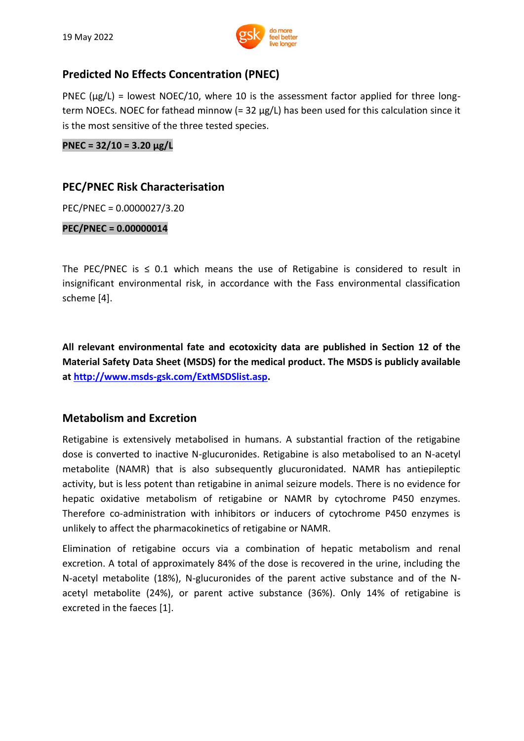

#### **Predicted No Effects Concentration (PNEC)**

PNEC ( $\mu$ g/L) = lowest NOEC/10, where 10 is the assessment factor applied for three longterm NOECs. NOEC for fathead minnow (= 32 µg/L) has been used for this calculation since it is the most sensitive of the three tested species.

**PNEC = 32/10 = 3.20 μg/L**

#### **PEC/PNEC Risk Characterisation**

PEC/PNEC = 0.0000027/3.20

**PEC/PNEC = 0.00000014**

The PEC/PNEC is  $\leq$  0.1 which means the use of Retigabine is considered to result in insignificant environmental risk, in accordance with the Fass environmental classification scheme [4].

**All relevant environmental fate and ecotoxicity data are published in Section 12 of the Material Safety Data Sheet (MSDS) for the medical product. The MSDS is publicly available at [http://www.msds-gsk.com/ExtMSDSlist.asp.](http://www.msds-gsk.com/ExtMSDSlist.asp)**

#### **Metabolism and Excretion**

Retigabine is extensively metabolised in humans. A substantial fraction of the retigabine dose is converted to inactive N-glucuronides. Retigabine is also metabolised to an N-acetyl metabolite (NAMR) that is also subsequently glucuronidated. NAMR has antiepileptic activity, but is less potent than retigabine in animal seizure models. There is no evidence for hepatic oxidative metabolism of retigabine or NAMR by cytochrome P450 enzymes. Therefore co-administration with inhibitors or inducers of cytochrome P450 enzymes is unlikely to affect the pharmacokinetics of retigabine or NAMR.

Elimination of retigabine occurs via a combination of hepatic metabolism and renal excretion. A total of approximately 84% of the dose is recovered in the urine, including the N-acetyl metabolite (18%), N-glucuronides of the parent active substance and of the Nacetyl metabolite (24%), or parent active substance (36%). Only 14% of retigabine is excreted in the faeces [1].